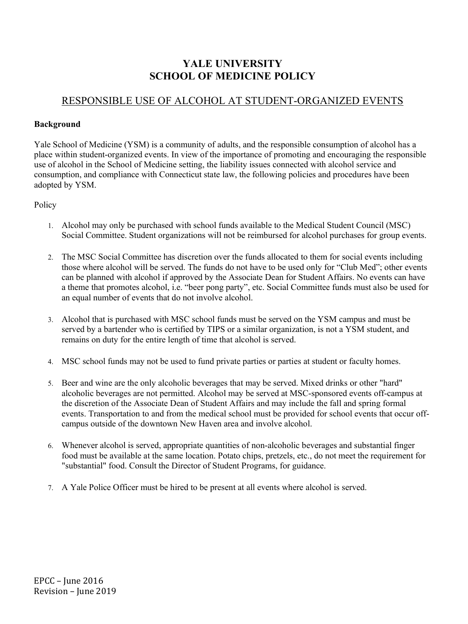## **YALE UNIVERSITY SCHOOL OF MEDICINE POLICY**

## RESPONSIBLE USE OF ALCOHOL AT STUDENT-ORGANIZED EVENTS

## **Background**

Yale School of Medicine (YSM) is a community of adults, and the responsible consumption of alcohol has a place within student-organized events. In view of the importance of promoting and encouraging the responsible use of alcohol in the School of Medicine setting, the liability issues connected with alcohol service and consumption, and compliance with Connecticut state law, the following policies and procedures have been adopted by YSM.

Policy

- 1. Alcohol may only be purchased with school funds available to the Medical Student Council (MSC) Social Committee. Student organizations will not be reimbursed for alcohol purchases for group events.
- 2. The MSC Social Committee has discretion over the funds allocated to them for social events including those where alcohol will be served. The funds do not have to be used only for "Club Med"; other events can be planned with alcohol if approved by the Associate Dean for Student Affairs. No events can have a theme that promotes alcohol, i.e. "beer pong party", etc. Social Committee funds must also be used for an equal number of events that do not involve alcohol.
- 3. Alcohol that is purchased with MSC school funds must be served on the YSM campus and must be served by a bartender who is certified by TIPS or a similar organization, is not a YSM student, and remains on duty for the entire length of time that alcohol is served.
- 4. MSC school funds may not be used to fund private parties or parties at student or faculty homes.
- 5. Beer and wine are the only alcoholic beverages that may be served. Mixed drinks or other "hard" alcoholic beverages are not permitted. Alcohol may be served at MSC-sponsored events off-campus at the discretion of the Associate Dean of Student Affairs and may include the fall and spring formal events. Transportation to and from the medical school must be provided for school events that occur offcampus outside of the downtown New Haven area and involve alcohol.
- 6. Whenever alcohol is served, appropriate quantities of non-alcoholic beverages and substantial finger food must be available at the same location. Potato chips, pretzels, etc., do not meet the requirement for "substantial" food. Consult the Director of Student Programs, for guidance.
- 7. A Yale Police Officer must be hired to be present at all events where alcohol is served.